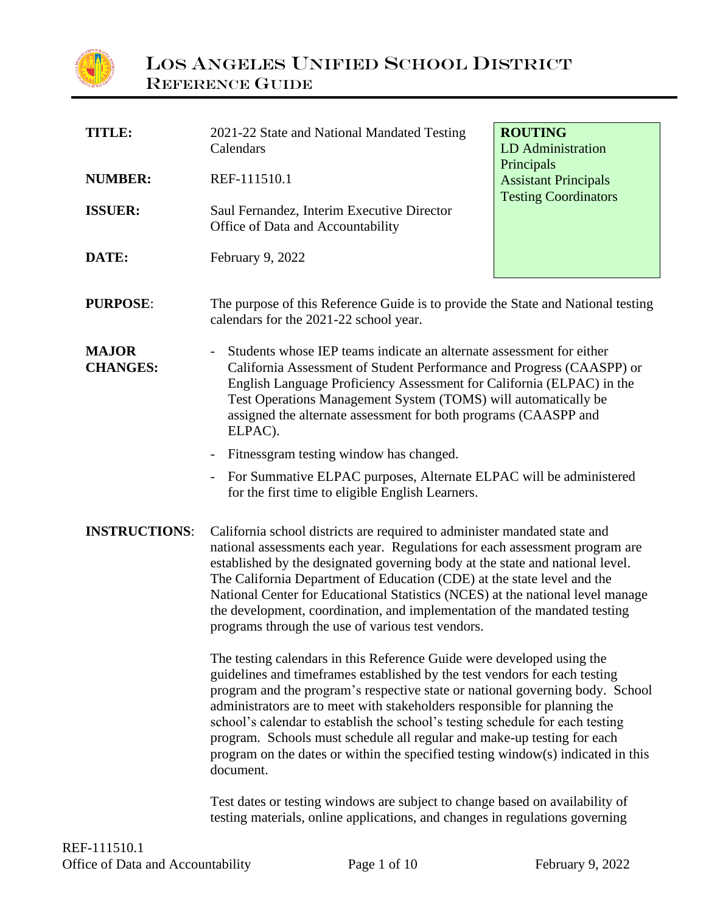

| TITLE:                                                                                                                                                                                                                                                                                                                                                                                                                                                                                                                                                                          | 2021-22 State and National Mandated Testing<br>Calendars                                                                                                                                                                                                                                                                                                                                                                                                                                                                                 | <b>ROUTING</b><br><b>LD</b> Administration |  |
|---------------------------------------------------------------------------------------------------------------------------------------------------------------------------------------------------------------------------------------------------------------------------------------------------------------------------------------------------------------------------------------------------------------------------------------------------------------------------------------------------------------------------------------------------------------------------------|------------------------------------------------------------------------------------------------------------------------------------------------------------------------------------------------------------------------------------------------------------------------------------------------------------------------------------------------------------------------------------------------------------------------------------------------------------------------------------------------------------------------------------------|--------------------------------------------|--|
| <b>NUMBER:</b>                                                                                                                                                                                                                                                                                                                                                                                                                                                                                                                                                                  | REF-111510.1                                                                                                                                                                                                                                                                                                                                                                                                                                                                                                                             | Principals<br><b>Assistant Principals</b>  |  |
| <b>ISSUER:</b>                                                                                                                                                                                                                                                                                                                                                                                                                                                                                                                                                                  | Saul Fernandez, Interim Executive Director<br>Office of Data and Accountability                                                                                                                                                                                                                                                                                                                                                                                                                                                          | <b>Testing Coordinators</b>                |  |
| DATE:                                                                                                                                                                                                                                                                                                                                                                                                                                                                                                                                                                           | February 9, 2022                                                                                                                                                                                                                                                                                                                                                                                                                                                                                                                         |                                            |  |
| <b>PURPOSE:</b>                                                                                                                                                                                                                                                                                                                                                                                                                                                                                                                                                                 | The purpose of this Reference Guide is to provide the State and National testing<br>calendars for the 2021-22 school year.                                                                                                                                                                                                                                                                                                                                                                                                               |                                            |  |
| <b>MAJOR</b><br><b>CHANGES:</b>                                                                                                                                                                                                                                                                                                                                                                                                                                                                                                                                                 | Students whose IEP teams indicate an alternate assessment for either<br>California Assessment of Student Performance and Progress (CAASPP) or<br>English Language Proficiency Assessment for California (ELPAC) in the<br>Test Operations Management System (TOMS) will automatically be<br>assigned the alternate assessment for both programs (CAASPP and<br>ELPAC).                                                                                                                                                                   |                                            |  |
|                                                                                                                                                                                                                                                                                                                                                                                                                                                                                                                                                                                 | Fitnessgram testing window has changed.                                                                                                                                                                                                                                                                                                                                                                                                                                                                                                  |                                            |  |
|                                                                                                                                                                                                                                                                                                                                                                                                                                                                                                                                                                                 | For Summative ELPAC purposes, Alternate ELPAC will be administered<br>for the first time to eligible English Learners.                                                                                                                                                                                                                                                                                                                                                                                                                   |                                            |  |
| <b>INSTRUCTIONS:</b>                                                                                                                                                                                                                                                                                                                                                                                                                                                                                                                                                            | California school districts are required to administer mandated state and<br>national assessments each year. Regulations for each assessment program are<br>established by the designated governing body at the state and national level.<br>The California Department of Education (CDE) at the state level and the<br>National Center for Educational Statistics (NCES) at the national level manage<br>the development, coordination, and implementation of the mandated testing<br>programs through the use of various test vendors. |                                            |  |
| The testing calendars in this Reference Guide were developed using the<br>guidelines and timeframes established by the test vendors for each testing<br>program and the program's respective state or national governing body. School<br>administrators are to meet with stakeholders responsible for planning the<br>school's calendar to establish the school's testing schedule for each testing<br>program. Schools must schedule all regular and make-up testing for each<br>program on the dates or within the specified testing window(s) indicated in this<br>document. |                                                                                                                                                                                                                                                                                                                                                                                                                                                                                                                                          |                                            |  |

Test dates or testing windows are subject to change based on availability of testing materials, online applications, and changes in regulations governing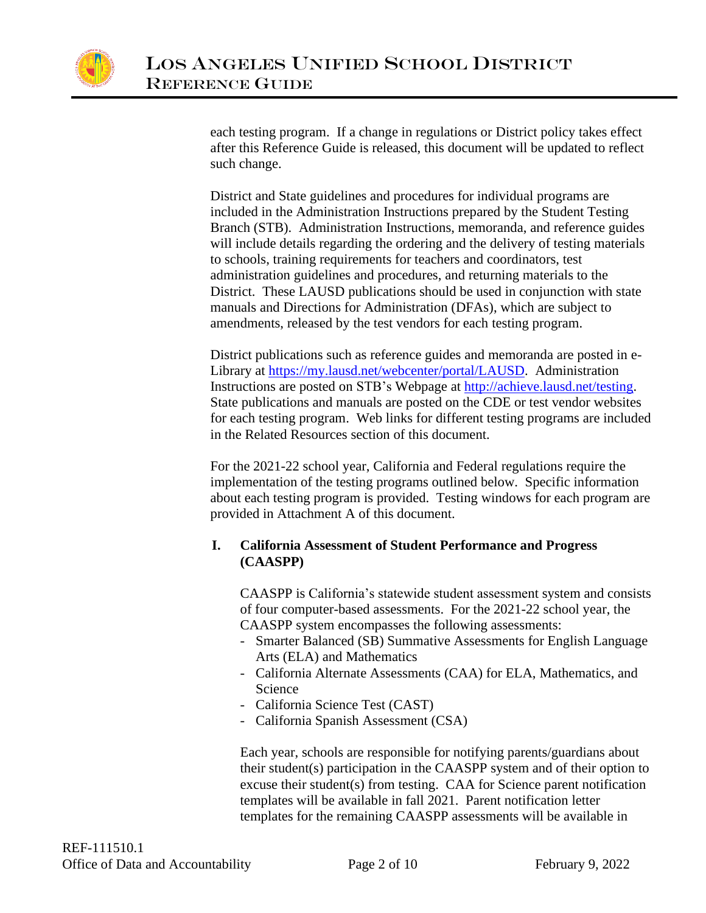

each testing program. If a change in regulations or District policy takes effect after this Reference Guide is released, this document will be updated to reflect such change.

District and State guidelines and procedures for individual programs are included in the Administration Instructions prepared by the Student Testing Branch (STB). Administration Instructions, memoranda, and reference guides will include details regarding the ordering and the delivery of testing materials to schools, training requirements for teachers and coordinators, test administration guidelines and procedures, and returning materials to the District. These LAUSD publications should be used in conjunction with state manuals and Directions for Administration (DFAs), which are subject to amendments, released by the test vendors for each testing program.

District publications such as reference guides and memoranda are posted in e-Library at [https://my.lausd.net/webcenter/portal/LAUSD.](https://my.lausd.net/webcenter/portal/LAUSD) Administration Instructions are posted on STB's Webpage at [http://achieve.lausd.net/testing.](http://achieve.lausd.net/testing) State publications and manuals are posted on the CDE or test vendor websites for each testing program. Web links for different testing programs are included in the Related Resources section of this document.

For the 2021-22 school year, California and Federal regulations require the implementation of the testing programs outlined below. Specific information about each testing program is provided. Testing windows for each program are provided in Attachment A of this document.

## **I. California Assessment of Student Performance and Progress (CAASPP)**

CAASPP is California's statewide student assessment system and consists of four computer-based assessments. For the 2021-22 school year, the CAASPP system encompasses the following assessments:

- Smarter Balanced (SB) Summative Assessments for English Language Arts (ELA) and Mathematics
- California Alternate Assessments (CAA) for ELA, Mathematics, and Science
- California Science Test (CAST)
- California Spanish Assessment (CSA)

Each year, schools are responsible for notifying parents/guardians about their student(s) participation in the CAASPP system and of their option to excuse their student(s) from testing. CAA for Science parent notification templates will be available in fall 2021. Parent notification letter templates for the remaining CAASPP assessments will be available in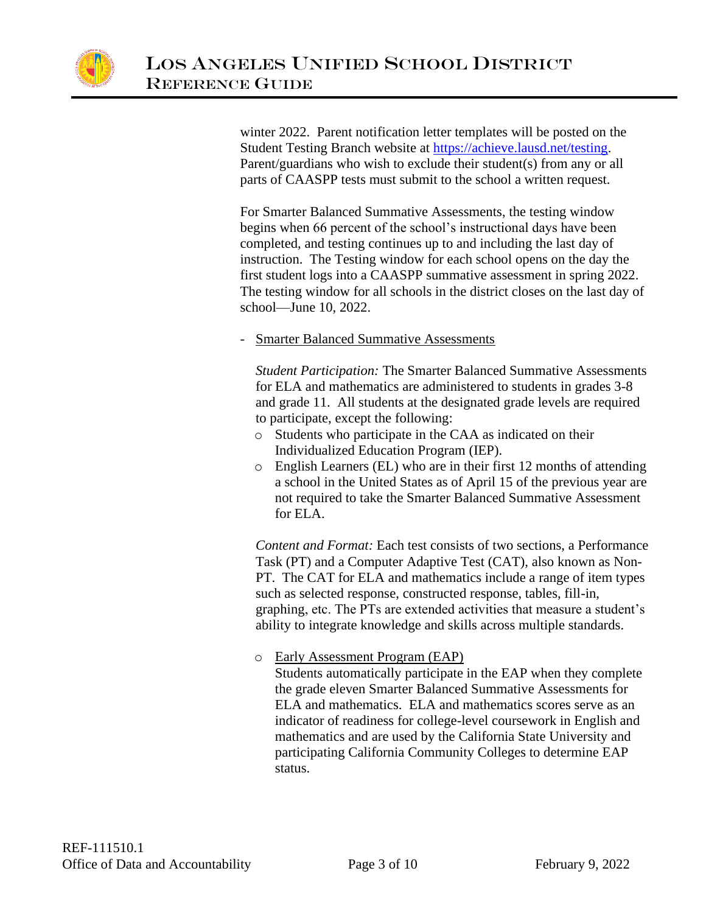

winter 2022. Parent notification letter templates will be posted on the Student Testing Branch website at [https://achieve.lausd.net/testing.](https://achieve.lausd.net/testing) Parent/guardians who wish to exclude their student(s) from any or all parts of CAASPP tests must submit to the school a written request.

For Smarter Balanced Summative Assessments, the testing window begins when 66 percent of the school's instructional days have been completed, and testing continues up to and including the last day of instruction. The Testing window for each school opens on the day the first student logs into a CAASPP summative assessment in spring 2022. The testing window for all schools in the district closes on the last day of school—June 10, 2022.

- Smarter Balanced Summative Assessments

*Student Participation:* The Smarter Balanced Summative Assessments for ELA and mathematics are administered to students in grades 3-8 and grade 11. All students at the designated grade levels are required to participate, except the following:

- o Students who participate in the CAA as indicated on their Individualized Education Program (IEP).
- o English Learners (EL) who are in their first 12 months of attending a school in the United States as of April 15 of the previous year are not required to take the Smarter Balanced Summative Assessment for ELA.

*Content and Format:* Each test consists of two sections, a Performance Task (PT) and a Computer Adaptive Test (CAT), also known as Non-PT. The CAT for ELA and mathematics include a range of item types such as selected response, constructed response, tables, fill-in, graphing, etc. The PTs are extended activities that measure a student's ability to integrate knowledge and skills across multiple standards.

## o Early Assessment Program (EAP)

Students automatically participate in the EAP when they complete the grade eleven Smarter Balanced Summative Assessments for ELA and mathematics. ELA and mathematics scores serve as an indicator of readiness for college-level coursework in English and mathematics and are used by the California State University and participating California Community Colleges to determine EAP status.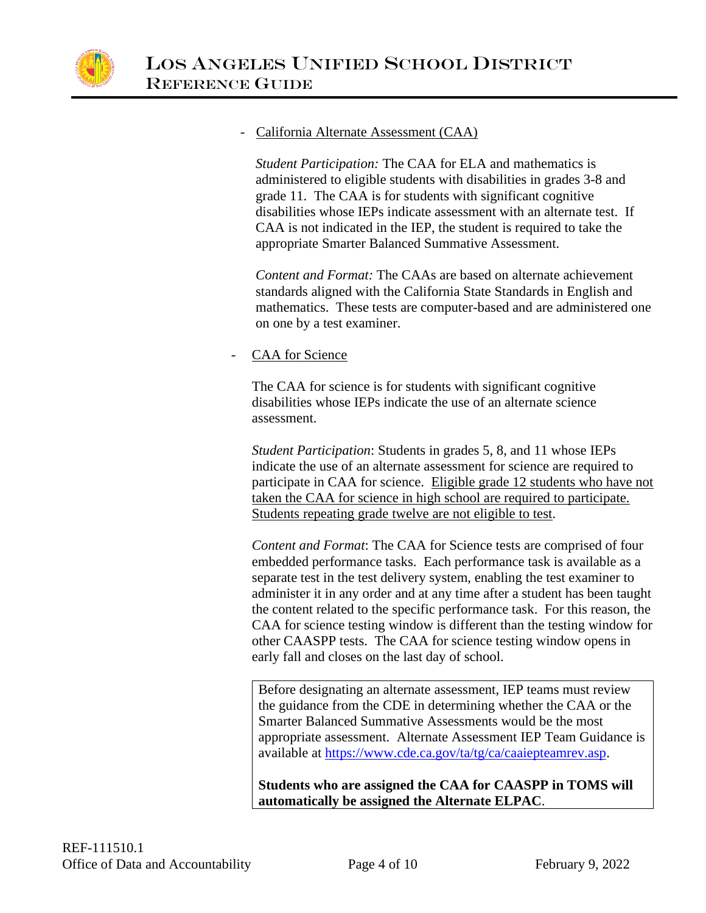

#### - California Alternate Assessment (CAA)

*Student Participation:* The CAA for ELA and mathematics is administered to eligible students with disabilities in grades 3-8 and grade 11. The CAA is for students with significant cognitive disabilities whose IEPs indicate assessment with an alternate test. If CAA is not indicated in the IEP, the student is required to take the appropriate Smarter Balanced Summative Assessment.

*Content and Format:* The CAAs are based on alternate achievement standards aligned with the California State Standards in English and mathematics. These tests are computer-based and are administered one on one by a test examiner.

## CAA for Science

The CAA for science is for students with significant cognitive disabilities whose IEPs indicate the use of an alternate science assessment.

*Student Participation*: Students in grades 5, 8, and 11 whose IEPs indicate the use of an alternate assessment for science are required to participate in CAA for science. Eligible grade 12 students who have not taken the CAA for science in high school are required to participate. Students repeating grade twelve are not eligible to test.

*Content and Format*: The CAA for Science tests are comprised of four embedded performance tasks. Each performance task is available as a separate test in the test delivery system, enabling the test examiner to administer it in any order and at any time after a student has been taught the content related to the specific performance task. For this reason, the CAA for science testing window is different than the testing window for other CAASPP tests. The CAA for science testing window opens in early fall and closes on the last day of school.

Before designating an alternate assessment, IEP teams must review the guidance from the CDE in determining whether the CAA or the Smarter Balanced Summative Assessments would be the most appropriate assessment. Alternate Assessment IEP Team Guidance is available at [https://www.cde.ca.gov/ta/tg/ca/caaiepteamrev.asp.](https://www.cde.ca.gov/ta/tg/ca/caaiepteamrev.asp)

**Students who are assigned the CAA for CAASPP in TOMS will automatically be assigned the Alternate ELPAC**.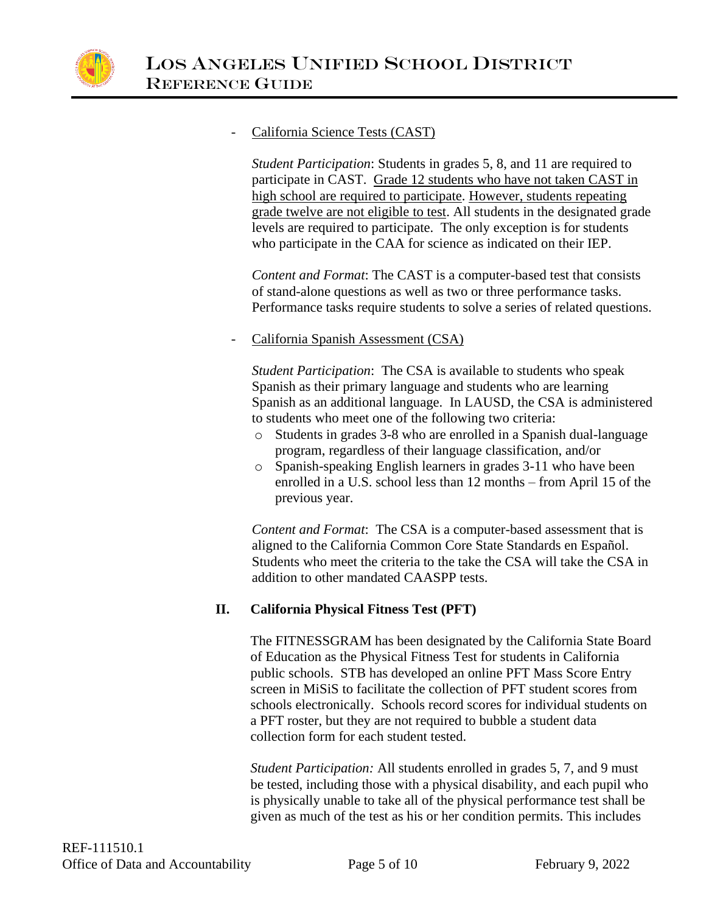

## California Science Tests (CAST)

*Student Participation*: Students in grades 5, 8, and 11 are required to participate in CAST. Grade 12 students who have not taken CAST in high school are required to participate. However, students repeating grade twelve are not eligible to test. All students in the designated grade levels are required to participate. The only exception is for students who participate in the CAA for science as indicated on their IEP.

*Content and Format*: The CAST is a computer-based test that consists of stand-alone questions as well as two or three performance tasks. Performance tasks require students to solve a series of related questions.

## California Spanish Assessment (CSA)

*Student Participation*: The CSA is available to students who speak Spanish as their primary language and students who are learning Spanish as an additional language. In LAUSD, the CSA is administered to students who meet one of the following two criteria:

- Students in grades 3-8 who are enrolled in a Spanish dual-language program, regardless of their language classification, and/or
- o Spanish-speaking English learners in grades 3-11 who have been enrolled in a U.S. school less than 12 months – from April 15 of the previous year.

*Content and Format*: The CSA is a computer-based assessment that is aligned to the California Common Core State Standards en Español. Students who meet the criteria to the take the CSA will take the CSA in addition to other mandated CAASPP tests.

## **II. California Physical Fitness Test (PFT)**

The FITNESSGRAM has been designated by the California State Board of Education as the Physical Fitness Test for students in California public schools. STB has developed an online PFT Mass Score Entry screen in MiSiS to facilitate the collection of PFT student scores from schools electronically. Schools record scores for individual students on a PFT roster, but they are not required to bubble a student data collection form for each student tested.

*Student Participation:* All students enrolled in grades 5, 7, and 9 must be tested, including those with a physical disability, and each pupil who is physically unable to take all of the physical performance test shall be given as much of the test as his or her condition permits. This includes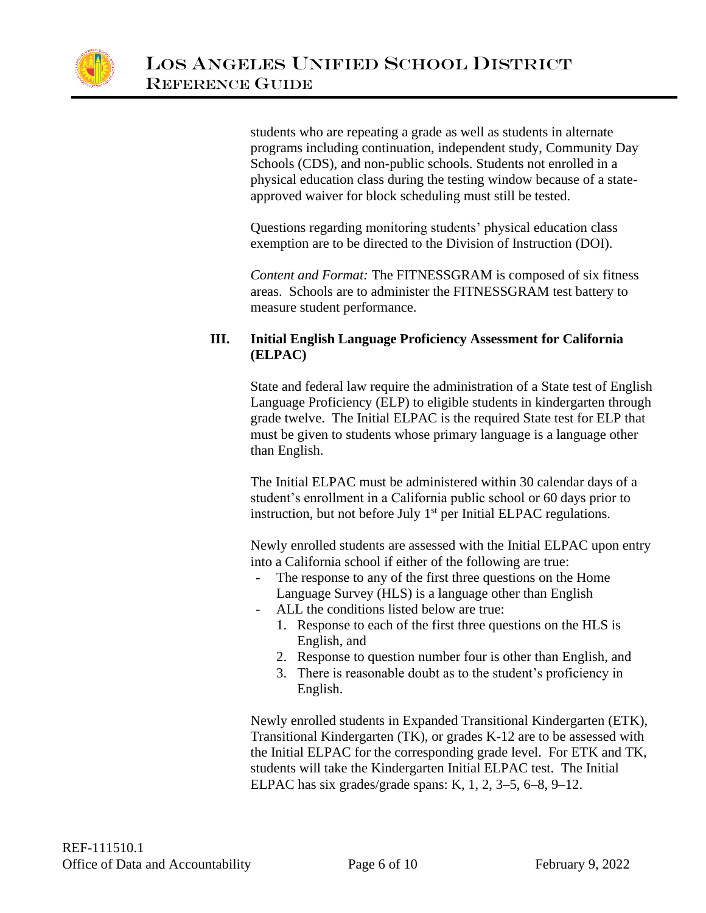

students who are repeating a grade as well as students in alternate programs including continuation, independent study, Community Day Schools (CDS), and non-public schools. Students not enrolled in a physical education class during the testing window because of a stateapproved waiver for block scheduling must still be tested.

Questions regarding monitoring students' physical education class exemption are to be directed to the Division of Instruction (DOI).

*Content and Format:* The FITNESSGRAM is composed of six fitness areas. Schools are to administer the FITNESSGRAM test battery to measure student performance.

## **III. Initial English Language Proficiency Assessment for California (ELPAC)**

State and federal law require the administration of a State test of English Language Proficiency (ELP) to eligible students in kindergarten through grade twelve. The Initial ELPAC is the required State test for ELP that must be given to students whose primary language is a language other than English.

The Initial ELPAC must be administered within 30 calendar days of a student's enrollment in a California public school or 60 days prior to instruction, but not before July  $1<sup>st</sup>$  per Initial ELPAC regulations.

Newly enrolled students are assessed with the Initial ELPAC upon entry into a California school if either of the following are true:

- The response to any of the first three questions on the Home Language Survey (HLS) is a language other than English
- ALL the conditions listed below are true:
	- 1. Response to each of the first three questions on the HLS is English, and
	- 2. Response to question number four is other than English, and
	- 3. There is reasonable doubt as to the student's proficiency in English.

Newly enrolled students in Expanded Transitional Kindergarten (ETK), Transitional Kindergarten (TK), or grades K-12 are to be assessed with the Initial ELPAC for the corresponding grade level. For ETK and TK, students will take the Kindergarten Initial ELPAC test. The Initial ELPAC has six grades/grade spans: K, 1, 2, 3–5, 6–8, 9–12.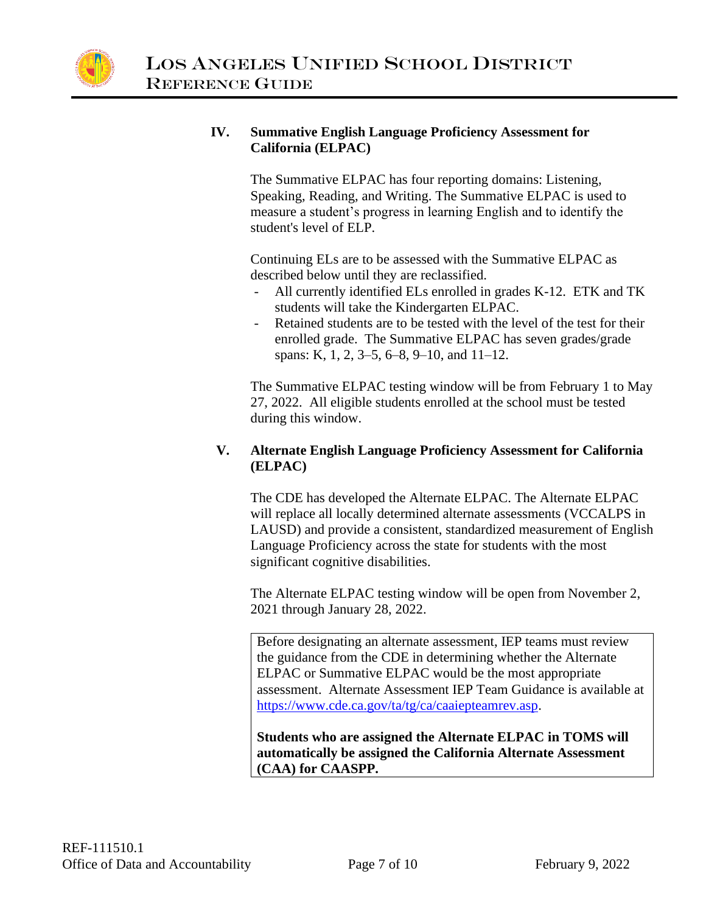

## **IV. Summative English Language Proficiency Assessment for California (ELPAC)**

The Summative ELPAC has four reporting domains: Listening, Speaking, Reading, and Writing. The Summative ELPAC is used to measure a student's progress in learning English and to identify the student's level of ELP.

Continuing ELs are to be assessed with the Summative ELPAC as described below until they are reclassified.

- All currently identified ELs enrolled in grades K-12. ETK and TK students will take the Kindergarten ELPAC.
- Retained students are to be tested with the level of the test for their enrolled grade. The Summative ELPAC has seven grades/grade spans: K, 1, 2, 3–5, 6–8, 9–10, and 11–12.

The Summative ELPAC testing window will be from February 1 to May 27, 2022. All eligible students enrolled at the school must be tested during this window.

## **V. Alternate English Language Proficiency Assessment for California (ELPAC)**

The CDE has developed the Alternate ELPAC. The Alternate ELPAC will replace all locally determined alternate assessments (VCCALPS in LAUSD) and provide a consistent, standardized measurement of English Language Proficiency across the state for students with the most significant cognitive disabilities.

The Alternate ELPAC testing window will be open from November 2, 2021 through January 28, 2022.

Before designating an alternate assessment, IEP teams must review the guidance from the CDE in determining whether the Alternate ELPAC or Summative ELPAC would be the most appropriate assessment. Alternate Assessment IEP Team Guidance is available at [https://www.cde.ca.gov/ta/tg/ca/caaiepteamrev.asp.](https://www.cde.ca.gov/ta/tg/ca/caaiepteamrev.asp)

**Students who are assigned the Alternate ELPAC in TOMS will automatically be assigned the California Alternate Assessment (CAA) for CAASPP.**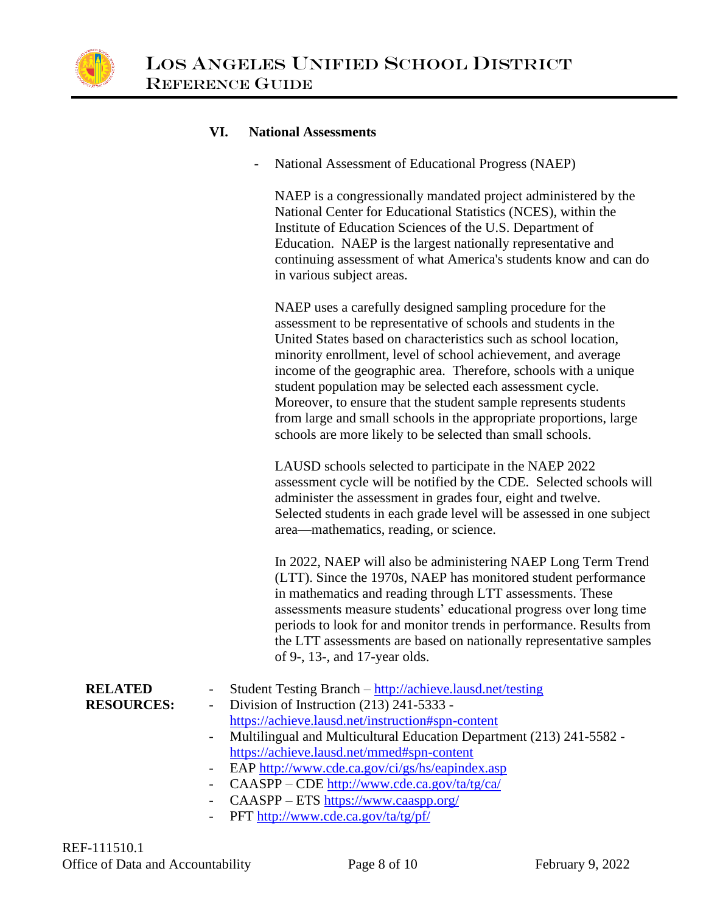

#### **VI. National Assessments**

National Assessment of Educational Progress (NAEP)

NAEP is a congressionally mandated project administered by the National Center for Educational Statistics (NCES), within the Institute of Education Sciences of the U.S. Department of Education. NAEP is the largest nationally representative and continuing assessment of what America's students know and can do in various subject areas.

NAEP uses a carefully designed sampling procedure for the assessment to be representative of schools and students in the United States based on characteristics such as school location, minority enrollment, level of school achievement, and average income of the geographic area. Therefore, schools with a unique student population may be selected each assessment cycle. Moreover, to ensure that the student sample represents students from large and small schools in the appropriate proportions, large schools are more likely to be selected than small schools.

LAUSD schools selected to participate in the NAEP 2022 assessment cycle will be notified by the CDE. Selected schools will administer the assessment in grades four, eight and twelve. Selected students in each grade level will be assessed in one subject area—mathematics, reading, or science.

In 2022, NAEP will also be administering NAEP Long Term Trend (LTT). Since the 1970s, NAEP has monitored student performance in mathematics and reading through LTT assessments. These assessments measure students' educational progress over long time periods to look for and monitor trends in performance. Results from the LTT assessments are based on nationally representative samples of 9-, 13-, and 17-year olds.

| <b>RELATED</b><br><b>RESOURCES:</b> | - Student Testing Branch – http://achieve.lausd.net/testing<br>- Division of Instruction $(213)$ 241-5333 -<br>https://achieve.lausd.net/instruction#spn-content<br>- Multilingual and Multicultural Education Department (213) 241-5582 - |
|-------------------------------------|--------------------------------------------------------------------------------------------------------------------------------------------------------------------------------------------------------------------------------------------|
|                                     | https://achieve.lausd.net/mmed#spn-content                                                                                                                                                                                                 |
|                                     | - EAP http://www.cde.ca.gov/ci/gs/hs/eapindex.asp                                                                                                                                                                                          |
|                                     | - CAASPP – CDE http://www.cde.ca.gov/ta/tg/ca/                                                                                                                                                                                             |
|                                     | - CAASPP – ETS https://www.caaspp.org/                                                                                                                                                                                                     |

PFT<http://www.cde.ca.gov/ta/tg/pf/>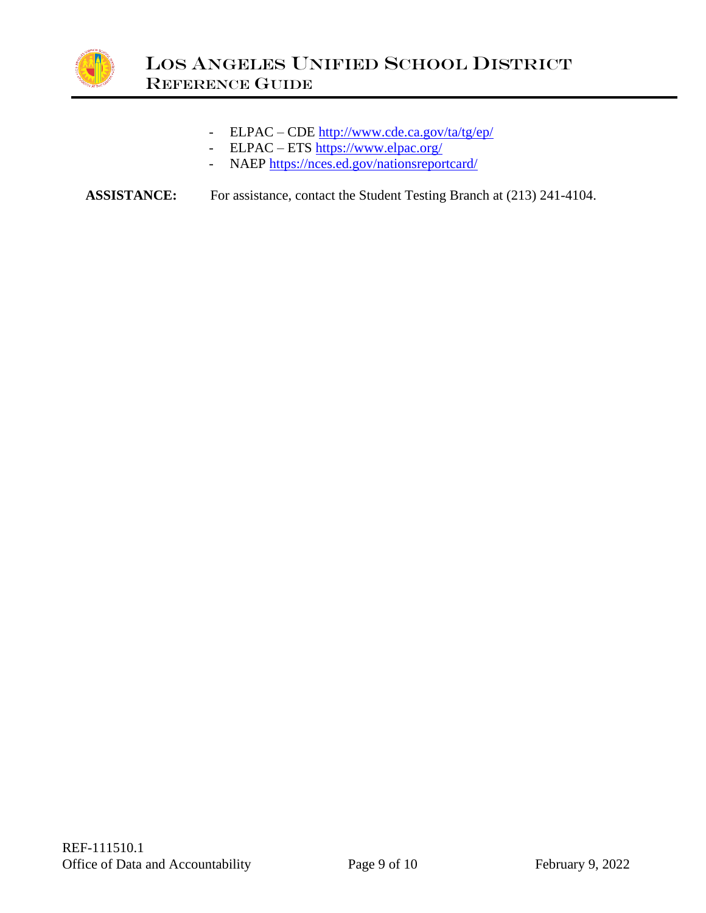

- ELPAC CDE<http://www.cde.ca.gov/ta/tg/ep/>
- ELPAC ETS<https://www.elpac.org/>
- NAEP<https://nces.ed.gov/nationsreportcard/>

**ASSISTANCE:** For assistance, contact the Student Testing Branch at (213) 241-4104.